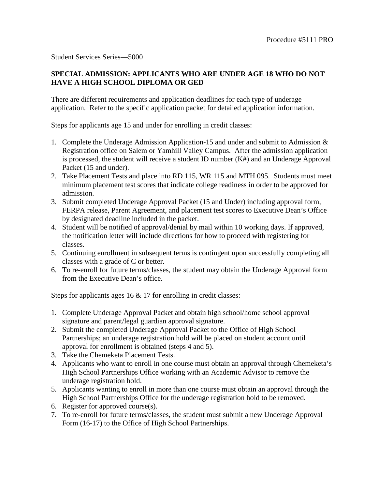Student Services Series—5000

## **SPECIAL ADMISSION: APPLICANTS WHO ARE UNDER AGE 18 WHO DO NOT HAVE A HIGH SCHOOL DIPLOMA OR GED**

There are different requirements and application deadlines for each type of underage application. Refer to the specific application packet for detailed application information.

Steps for applicants age 15 and under for enrolling in credit classes:

- 1. Complete the Underage Admission Application-15 and under and submit to Admission & Registration office on Salem or Yamhill Valley Campus. After the admission application is processed, the student will receive a student ID number (K#) and an Underage Approval Packet (15 and under).
- 2. Take Placement Tests and place into RD 115, WR 115 and MTH 095. Students must meet minimum placement test scores that indicate college readiness in order to be approved for admission.
- 3. Submit completed Underage Approval Packet (15 and Under) including approval form, FERPA release, Parent Agreement, and placement test scores to Executive Dean's Office by designated deadline included in the packet.
- 4. Student will be notified of approval/denial by mail within 10 working days. If approved, the notification letter will include directions for how to proceed with registering for classes.
- 5. Continuing enrollment in subsequent terms is contingent upon successfully completing all classes with a grade of C or better.
- 6. To re-enroll for future terms/classes, the student may obtain the Underage Approval form from the Executive Dean's office.

Steps for applicants ages 16 & 17 for enrolling in credit classes:

- 1. Complete Underage Approval Packet and obtain high school/home school approval signature and parent/legal guardian approval signature.
- 2. Submit the completed Underage Approval Packet to the Office of High School Partnerships; an underage registration hold will be placed on student account until approval for enrollment is obtained (steps 4 and 5).
- 3. Take the Chemeketa Placement Tests.
- 4. Applicants who want to enroll in one course must obtain an approval through Chemeketa's High School Partnerships Office working with an Academic Advisor to remove the underage registration hold.
- 5. Applicants wanting to enroll in more than one course must obtain an approval through the High School Partnerships Office for the underage registration hold to be removed.
- 6. Register for approved course(s).
- 7. To re-enroll for future terms/classes, the student must submit a new Underage Approval Form (16-17) to the Office of High School Partnerships.